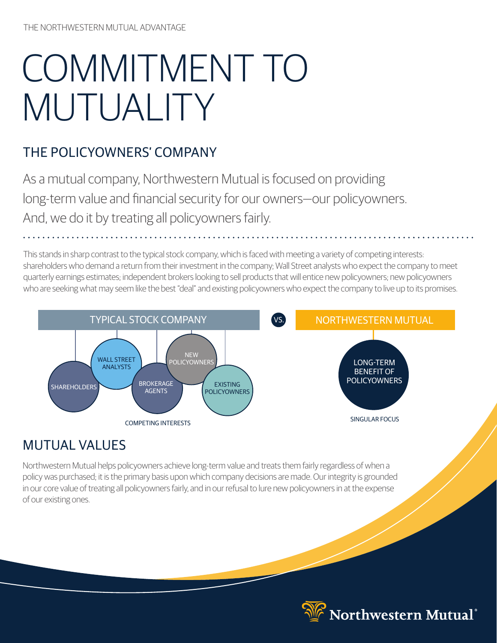# COMMITMENT TO MUTUALITY

## THE POLICYOWNERS' COMPANY

As a mutual company, Northwestern Mutual is focused on providing long-term value and financial security for our owners—our policyowners. And, we do it by treating all policyowners fairly.

This stands in sharp contrast to the typical stock company, which is faced with meeting a variety of competing interests: shareholders who demand a return from their investment in the company; Wall Street analysts who expect the company to meet quarterly earnings estimates; independent brokers looking to sell products that will entice new policyowners; new policyowners who are seeking what may seem like the best "deal" and existing policyowners who expect the company to live up to its promises.



# MUTUAL VALUES

Northwestern Mutual helps policyowners achieve long-term value and treats them fairly regardless of when a policy was purchased; it is the primary basis upon which company decisions are made. Our integrity is grounded in our core value of treating all policyowners fairly, and in our refusal to lure new policyowners in at the expense of our existing ones.